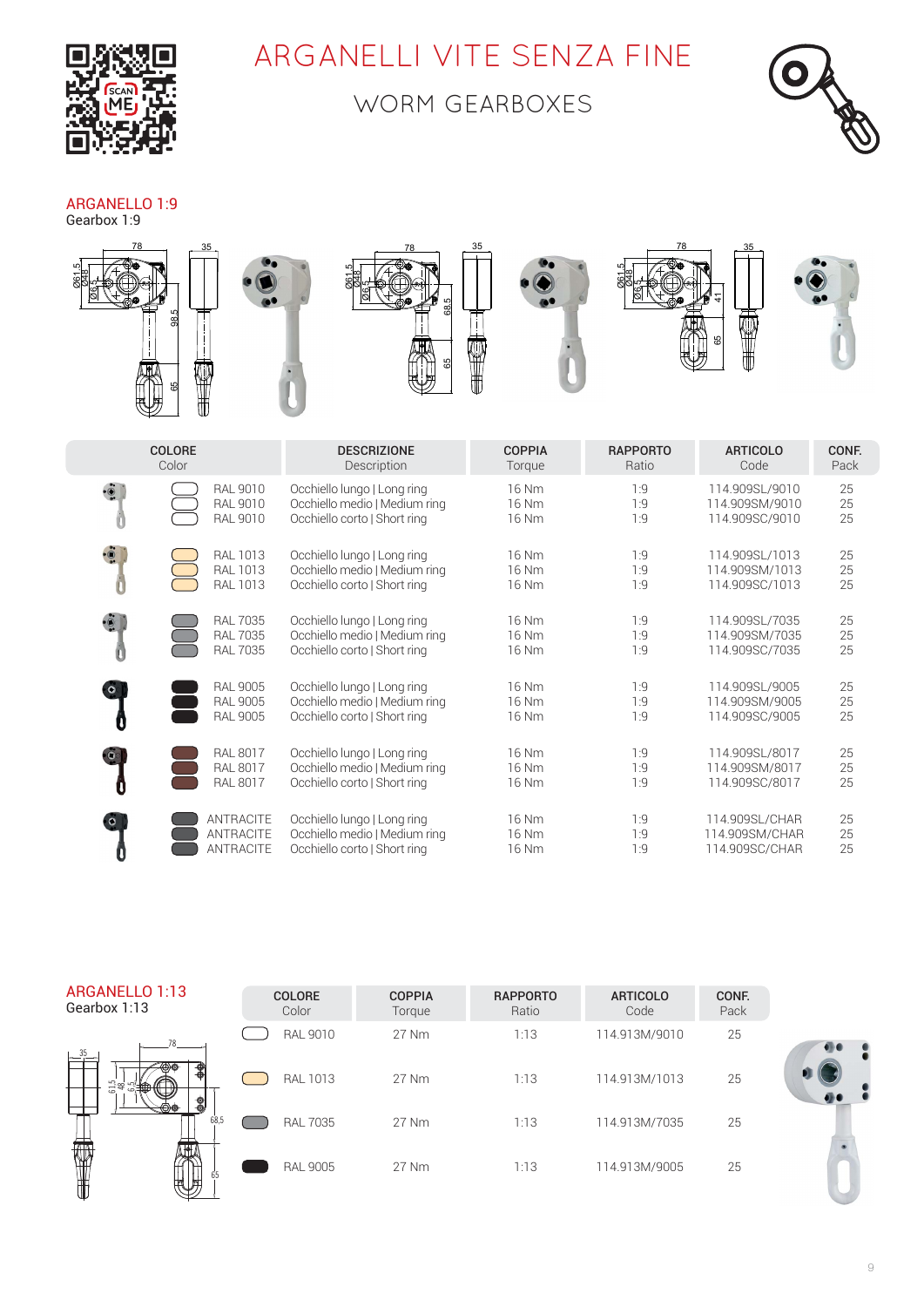

## ARGANELLI VITE SENZA FINE

### WORM GEARBOXES



#### ARGANELLO 1:9

Gearbox 1:9



|                          | <b>COLORE</b>                                         | <b>DESCRIZIONE</b>                                                                           | <b>COPPIA</b>           | <b>RAPPORTO</b>   | <b>ARTICOLO</b>                                    | CONF.          |
|--------------------------|-------------------------------------------------------|----------------------------------------------------------------------------------------------|-------------------------|-------------------|----------------------------------------------------|----------------|
|                          | Color                                                 | Description                                                                                  | Torque                  | Ratio             | Code                                               | Pack           |
|                          | <b>RAL 9010</b>                                       | Occhiello lungo   Long ring                                                                  | 16 Nm                   | 1:9               | 114.909SL/9010                                     | 25             |
|                          | <b>RAL 9010</b>                                       | Occhiello medio   Medium ring                                                                | 16 Nm                   | 1:9               | 114.909SM/9010                                     | 25             |
|                          | <b>RAL 9010</b>                                       | Occhiello corto   Short ring                                                                 | 16 Nm                   | 1:9               | 114.909SC/9010                                     | 25             |
| $\ddot{\circ}$           | <b>RAL 1013</b>                                       | Occhiello lungo   Long ring                                                                  | 16 Nm                   | 1:9               | 114.909SL/1013                                     | 25             |
|                          | <b>RAL 1013</b>                                       | Occhiello medio   Medium ring                                                                | 16 Nm                   | 1:9               | 114.909SM/1013                                     | 25             |
|                          | <b>RAL 1013</b>                                       | Occhiello corto   Short ring                                                                 | 16 Nm                   | 1:9               | 114.909SC/1013                                     | 25             |
|                          | <b>RAL 7035</b>                                       | Occhiello lungo   Long ring                                                                  | 16 Nm                   | 1:9               | 114.909SL/7035                                     | 25             |
|                          | <b>RAL 7035</b>                                       | Occhiello medio   Medium ring                                                                | 16 Nm                   | 1:9               | 114.909SM/7035                                     | 25             |
|                          | <b>RAL 7035</b>                                       | Occhiello corto   Short ring                                                                 | 16 Nm                   | 1:9               | 114.909SC/7035                                     | 25             |
| O                        | <b>RAL 9005</b>                                       | Occhiello lungo   Long ring                                                                  | 16 Nm                   | 1:9               | 114.909SL/9005                                     | 25             |
|                          | <b>RAL 9005</b>                                       | Occhiello medio   Medium ring                                                                | 16 Nm                   | 1:9               | 114.909SM/9005                                     | 25             |
|                          | <b>RAL 9005</b>                                       | Occhiello corto   Short ring                                                                 | 16 Nm                   | 1:9               | 114.909SC/9005                                     | 25             |
| $\ddot{\mathbf{c}}$<br>0 | <b>RAL 8017</b><br><b>RAL 8017</b><br><b>RAL 8017</b> | Occhiello lungo   Long ring<br>Occhiello medio   Medium ring<br>Occhiello corto   Short ring | 16 Nm<br>16 Nm<br>16 Nm | 1:9<br>1:9<br>1:9 | 114.909SL/8017<br>114.909SM/8017<br>114.909SC/8017 | 25<br>25<br>25 |
| $\bullet$                | <b>ANTRACITE</b>                                      | Occhiello lungo   Long ring                                                                  | 16 Nm                   | 1:9               | 114.909SL/CHAR                                     | 25             |
|                          | <b>ANTRACITE</b>                                      | Occhiello medio   Medium ring                                                                | 16 Nm                   | 1:9               | 114.909SM/CHAR                                     | 25             |
|                          | ANTRACITE                                             | Occhiello corto   Short ring                                                                 | 16 Nm                   | 1:9               | 114.909SC/CHAR                                     | 25             |

ARGANELLO 1:13 Gearbox 1:13



| <b>COLORE</b><br>Color | <b>COPPIA</b><br>Torque | <b>RAPPORTO</b><br>Ratio | <b>ARTICOLO</b><br>Code | CONF.<br>Pack |
|------------------------|-------------------------|--------------------------|-------------------------|---------------|
| RAL 9010               | 27 Nm                   | 1:13                     | 114.913M/9010           | 25            |
| RAL 1013               | 27 Nm                   | 1:13                     | 114.913M/1013           | 25            |
| <b>RAL 7035</b>        | 27 Nm                   | 1:13                     | 114.913M/7035           | 25            |
| <b>RAL 9005</b>        | 27 Nm                   | 1:13                     | 114.913M/9005           | 25            |